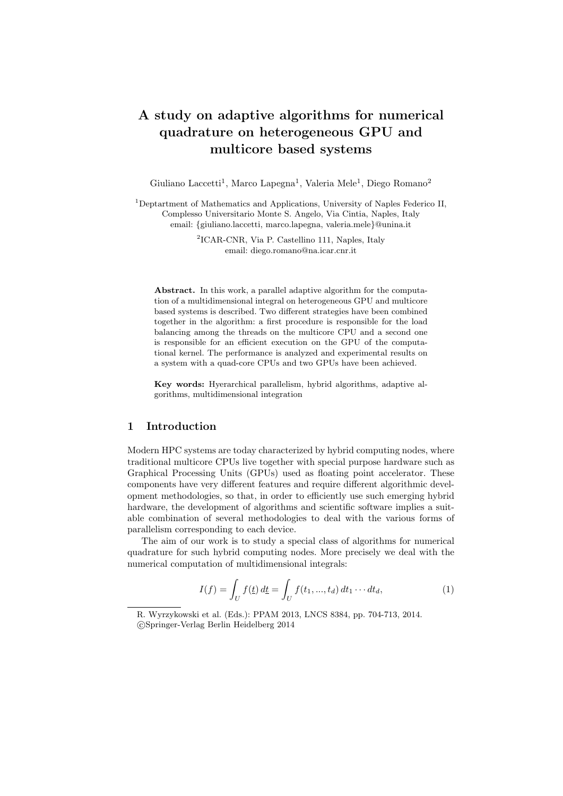# A study on adaptive algorithms for numerical quadrature on heterogeneous GPU and multicore based systems

Giuliano Laccetti<sup>1</sup>, Marco Lapegna<sup>1</sup>, Valeria Mele<sup>1</sup>, Diego Romano<sup>2</sup>

<sup>1</sup>Deptartment of Mathematics and Applications, University of Naples Federico II, Complesso Universitario Monte S. Angelo, Via Cintia, Naples, Italy email: {giuliano.laccetti, marco.lapegna, valeria.mele}@unina.it

> 2 ICAR-CNR, Via P. Castellino 111, Naples, Italy email: diego.romano@na.icar.cnr.it

Abstract. In this work, a parallel adaptive algorithm for the computation of a multidimensional integral on heterogeneous GPU and multicore based systems is described. Two different strategies have been combined together in the algorithm: a first procedure is responsible for the load balancing among the threads on the multicore CPU and a second one is responsible for an efficient execution on the GPU of the computational kernel. The performance is analyzed and experimental results on a system with a quad-core CPUs and two GPUs have been achieved.

Key words: Hyerarchical parallelism, hybrid algorithms, adaptive algorithms, multidimensional integration

## 1 Introduction

Modern HPC systems are today characterized by hybrid computing nodes, where traditional multicore CPUs live together with special purpose hardware such as Graphical Processing Units (GPUs) used as floating point accelerator. These components have very different features and require different algorithmic development methodologies, so that, in order to efficiently use such emerging hybrid hardware, the development of algorithms and scientific software implies a suitable combination of several methodologies to deal with the various forms of parallelism corresponding to each device.

The aim of our work is to study a special class of algorithms for numerical quadrature for such hybrid computing nodes. More precisely we deal with the numerical computation of multidimensional integrals:

$$
I(f) = \int_{U} f(\underline{t}) \, d\underline{t} = \int_{U} f(t_1, ..., t_d) \, dt_1 \cdots dt_d,
$$
\n(1)

R. Wyrzykowski et al. (Eds.): PPAM 2013, LNCS 8384, pp. 704-713, 2014. c Springer-Verlag Berlin Heidelberg 2014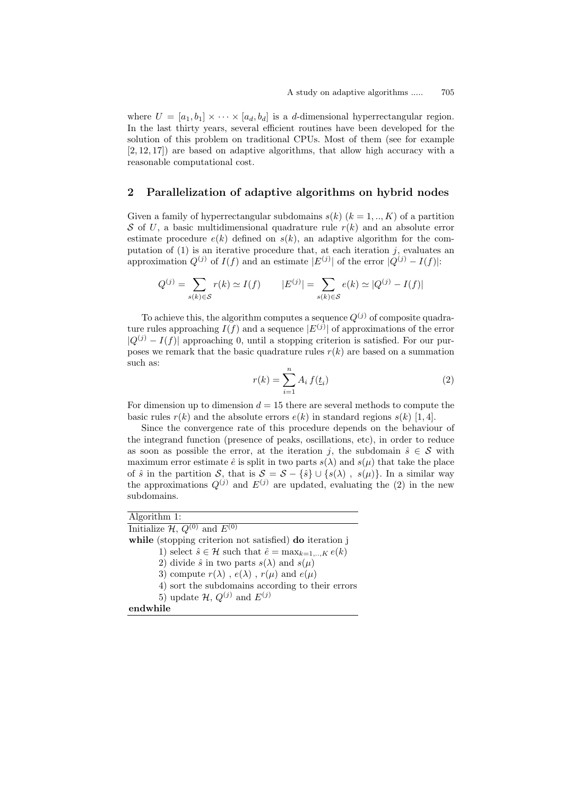where  $U = [a_1, b_1] \times \cdots \times [a_d, b_d]$  is a d-dimensional hyperrectangular region. In the last thirty years, several efficient routines have been developed for the solution of this problem on traditional CPUs. Most of them (see for example [2, 12, 17]) are based on adaptive algorithms, that allow high accuracy with a reasonable computational cost.

# 2 Parallelization of adaptive algorithms on hybrid nodes

Given a family of hyperrectangular subdomains  $s(k)$   $(k = 1, ..., K)$  of a partition S of U, a basic multidimensional quadrature rule  $r(k)$  and an absolute error estimate procedure  $e(k)$  defined on  $s(k)$ , an adaptive algorithm for the computation of  $(1)$  is an iterative procedure that, at each iteration j, evaluates an approximation  $Q^{(j)}$  of  $I(f)$  and an estimate  $|E^{(j)}|$  of the error  $|Q^{(j)} - I(f)|$ :

$$
Q^{(j)} = \sum_{s(k)\in\mathcal{S}} r(k) \simeq I(f) \qquad |E^{(j)}| = \sum_{s(k)\in\mathcal{S}} e(k) \simeq |Q^{(j)} - I(f)|
$$

To achieve this, the algorithm computes a sequence  $Q^{(j)}$  of composite quadrature rules approaching  $I(f)$  and a sequence  $|E^{(j)}|$  of approximations of the error  $|Q^{(j)} - I(f)|$  approaching 0, until a stopping criterion is satisfied. For our purposes we remark that the basic quadrature rules  $r(k)$  are based on a summation such as:

$$
r(k) = \sum_{i=1}^{n} A_i f(\underline{t}_i)
$$
 (2)

For dimension up to dimension  $d = 15$  there are several methods to compute the basic rules  $r(k)$  and the absolute errors  $e(k)$  in standard regions  $s(k)$  [1, 4].

Since the convergence rate of this procedure depends on the behaviour of the integrand function (presence of peaks, oscillations, etc), in order to reduce as soon as possible the error, at the iteration j, the subdomain  $\hat{s} \in \mathcal{S}$  with maximum error estimate  $\hat{e}$  is split in two parts  $s(\lambda)$  and  $s(\mu)$  that take the place of  $\hat{s}$  in the partition  $\mathcal{S}$ , that is  $\mathcal{S} = \mathcal{S} - \{\hat{s}\} \cup \{s(\lambda), s(\mu)\}\$ . In a similar way the approximations  $Q^{(j)}$  and  $E^{(j)}$  are updated, evaluating the (2) in the new subdomains.

| Algorithm 1:                                                                 |
|------------------------------------------------------------------------------|
| Initialize $\mathcal{H}, \overline{Q^{(0)} \text{ and } E^{(0)}}$            |
| while (stopping criterion not satisfied) do iteration j                      |
| 1) select $\hat{s} \in \mathcal{H}$ such that $\hat{e} = \max_{k=1,,K} e(k)$ |
| 2) divide $\hat{s}$ in two parts $s(\lambda)$ and $s(\mu)$                   |
| 3) compute $r(\lambda)$ , $e(\lambda)$ , $r(\mu)$ and $e(\mu)$               |
| 4) sort the subdomains according to their errors                             |
| 5) update $\mathcal{H}, Q^{(j)}$ and $E^{(j)}$                               |
| endwhile                                                                     |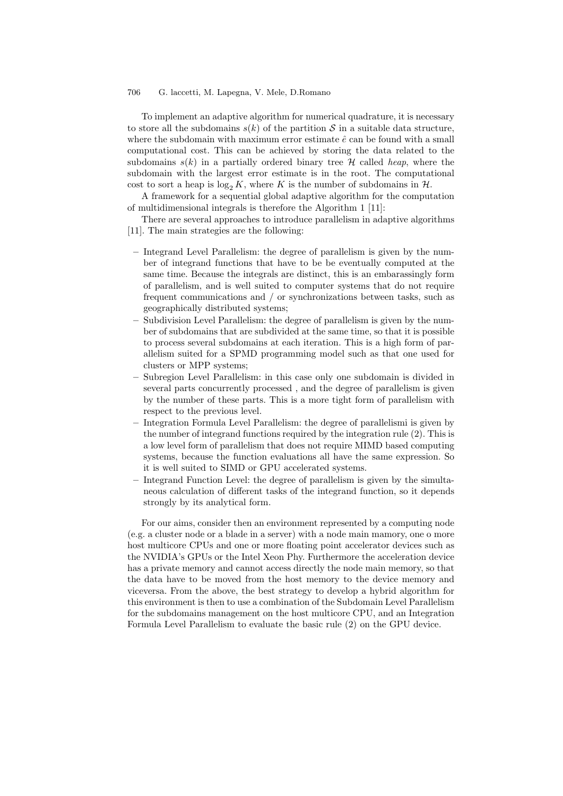#### 706 G. laccetti, M. Lapegna, V. Mele, D.Romano

To implement an adaptive algorithm for numerical quadrature, it is necessary to store all the subdomains  $s(k)$  of the partition S in a suitable data structure, where the subdomain with maximum error estimate  $\hat{e}$  can be found with a small computational cost. This can be achieved by storing the data related to the subdomains  $s(k)$  in a partially ordered binary tree H called heap, where the subdomain with the largest error estimate is in the root. The computational cost to sort a heap is  $\log_2 K$ , where K is the number of subdomains in H.

A framework for a sequential global adaptive algorithm for the computation of multidimensional integrals is therefore the Algorithm 1 [11]:

There are several approaches to introduce parallelism in adaptive algorithms [11]. The main strategies are the following:

- Integrand Level Parallelism: the degree of parallelism is given by the number of integrand functions that have to be be eventually computed at the same time. Because the integrals are distinct, this is an embarassingly form of parallelism, and is well suited to computer systems that do not require frequent communications and / or synchronizations between tasks, such as geographically distributed systems;
- Subdivision Level Parallelism: the degree of parallelism is given by the number of subdomains that are subdivided at the same time, so that it is possible to process several subdomains at each iteration. This is a high form of parallelism suited for a SPMD programming model such as that one used for clusters or MPP systems;
- Subregion Level Parallelism: in this case only one subdomain is divided in several parts concurrently processed , and the degree of parallelism is given by the number of these parts. This is a more tight form of parallelism with respect to the previous level.
- Integration Formula Level Parallelism: the degree of parallelismi is given by the number of integrand functions required by the integration rule (2). This is a low level form of parallelism that does not require MIMD based computing systems, because the function evaluations all have the same expression. So it is well suited to SIMD or GPU accelerated systems.
- Integrand Function Level: the degree of parallelism is given by the simultaneous calculation of different tasks of the integrand function, so it depends strongly by its analytical form.

For our aims, consider then an environment represented by a computing node (e.g. a cluster node or a blade in a server) with a node main mamory, one o more host multicore CPUs and one or more floating point accelerator devices such as the NVIDIA's GPUs or the Intel Xeon Phy. Furthermore the acceleration device has a private memory and cannot access directly the node main memory, so that the data have to be moved from the host memory to the device memory and viceversa. From the above, the best strategy to develop a hybrid algorithm for this environment is then to use a combination of the Subdomain Level Parallelism for the subdomains management on the host multicore CPU, and an Integration Formula Level Parallelism to evaluate the basic rule (2) on the GPU device.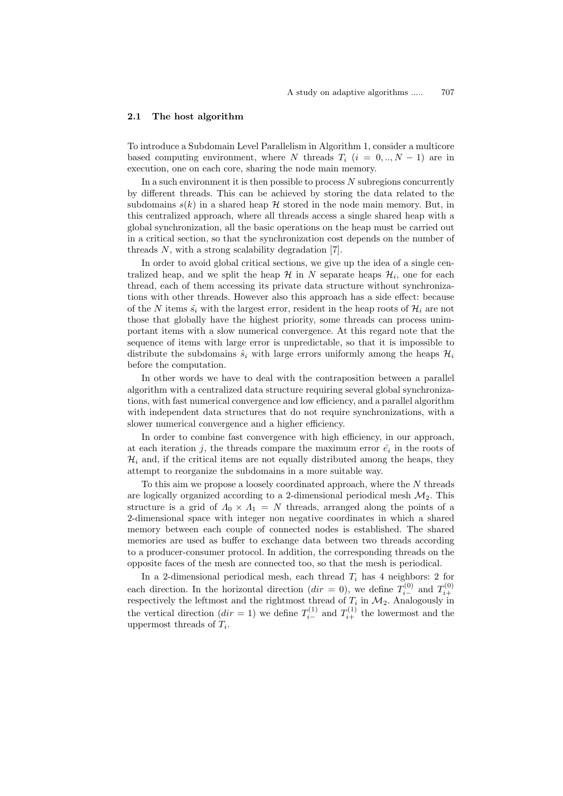### 2.1 The host algorithm

To introduce a Subdomain Level Parallelism in Algorithm 1, consider a multicore based computing environment, where N threads  $T_i$  (i = 0, .., N – 1) are in execution, one on each core, sharing the node main memory.

In a such environment it is then possible to process  $N$  subregions concurrently by different threads. This can be achieved by storing the data related to the subdomains  $s(k)$  in a shared heap H stored in the node main memory. But, in this centralized approach, where all threads access a single shared heap with a global synchronization, all the basic operations on the heap must be carried out in a critical section, so that the synchronization cost depends on the number of threads N, with a strong scalability degradation [7].

In order to avoid global critical sections, we give up the idea of a single centralized heap, and we split the heap  $\mathcal H$  in N separate heaps  $\mathcal H_i$ , one for each thread, each of them accessing its private data structure without synchronizations with other threads. However also this approach has a side effect: because of the N items  $\hat{s_i}$  with the largest error, resident in the heap roots of  $\mathcal{H}_i$  are not those that globally have the highest priority, some threads can process unimportant items with a slow numerical convergence. At this regard note that the sequence of items with large error is unpredictable, so that it is impossible to distribute the subdomains  $\hat{s}_i$  with large errors uniformly among the heaps  $\mathcal{H}_i$ before the computation.

In other words we have to deal with the contraposition between a parallel algorithm with a centralized data structure requiring several global synchronizations, with fast numerical convergence and low efficiency, and a parallel algorithm with independent data structures that do not require synchronizations, with a slower numerical convergence and a higher efficiency.

In order to combine fast convergence with high efficiency, in our approach, at each iteration j, the threads compare the maximum error  $\hat{e}_i$  in the roots of  $\mathcal{H}_i$  and, if the critical items are not equally distributed among the heaps, they attempt to reorganize the subdomains in a more suitable way.

To this aim we propose a loosely coordinated approach, where the  $N$  threads are logically organized according to a 2-dimensional periodical mesh  $\mathcal{M}_2$ . This structure is a grid of  $\Lambda_0 \times \Lambda_1 = N$  threads, arranged along the points of a 2-dimensional space with integer non negative coordinates in which a shared memory between each couple of connected nodes is established. The shared memories are used as buffer to exchange data between two threads according to a producer-consumer protocol. In addition, the corresponding threads on the opposite faces of the mesh are connected too, so that the mesh is periodical.

In a 2-dimensional periodical mesh, each thread  $T_i$  has 4 neighbors: 2 for each direction. In the horizontal direction  $(dr = 0)$ , we define  $T_{i-}^{(0)}$  and  $T_{i+}^{(0)}$ respectively the leftmost and the rightmost thread of  $T_i$  in  $\mathcal{M}_2$ . Analogously in the vertical direction  $dir = 1$ ) we define  $T_{i-}^{(1)}$  and  $T_{i+}^{(1)}$  the lowermost and the uppermost threads of  $T_i$ .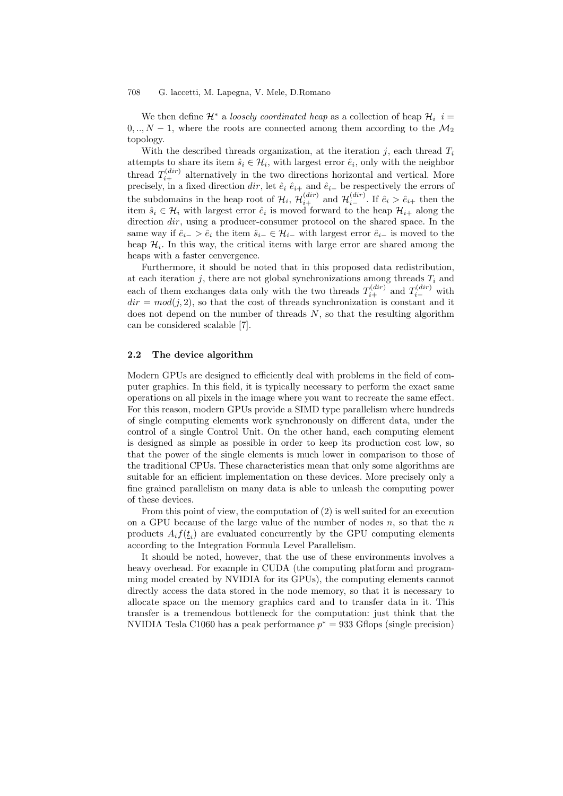#### 708 G. laccetti, M. Lapegna, V. Mele, D.Romano

We then define  $\mathcal{H}^*$  a loosely coordinated heap as a collection of heap  $\mathcal{H}_i$  i =  $0, ..., N-1$ , where the roots are connected among them according to the  $\mathcal{M}_2$ topology.

With the described threads organization, at the iteration  $j$ , each thread  $T_i$ attempts to share its item  $\hat{s}_i \in \mathcal{H}_i$ , with largest error  $\hat{e}_i$ , only with the neighbor thread  $T_{i+}^{(dir)}$  alternatively in the two directions horizontal and vertical. More precisely, in a fixed direction dir, let  $\hat{e}_i \hat{e}_{i+}$  and  $\hat{e}_{i-}$  be respectively the errors of the subdomains in the heap root of  $\mathcal{H}_i$ ,  $\mathcal{H}_{i+}^{(dir)}$  and  $\mathcal{H}_{i-}^{(dir)}$ . If  $\hat{e}_i > \hat{e}_{i+}$  then the item  $\hat{s}_i \in \mathcal{H}_i$  with largest error  $\hat{e}_i$  is moved forward to the heap  $\mathcal{H}_{i+}$  along the direction dir, using a producer-consumer protocol on the shared space. In the same way if  $\hat{e}_{i-} > \hat{e}_i$  the item  $\hat{s}_{i-} \in \mathcal{H}_{i-}$  with largest error  $\hat{e}_{i-}$  is moved to the heap  $\mathcal{H}_i$ . In this way, the critical items with large error are shared among the heaps with a faster cenvergence.

Furthermore, it should be noted that in this proposed data redistribution, at each iteration j, there are not global synchronizations among threads  $T_i$  and each of them exchanges data only with the two threads  $T_{i+}^{(dir)}$  and  $T_{i-}^{(dir)}$  with  $dir = mod(j, 2)$ , so that the cost of threads synchronization is constant and it does not depend on the number of threads  $N$ , so that the resulting algorithm can be considered scalable [7].

## 2.2 The device algorithm

Modern GPUs are designed to efficiently deal with problems in the field of computer graphics. In this field, it is typically necessary to perform the exact same operations on all pixels in the image where you want to recreate the same effect. For this reason, modern GPUs provide a SIMD type parallelism where hundreds of single computing elements work synchronously on different data, under the control of a single Control Unit. On the other hand, each computing element is designed as simple as possible in order to keep its production cost low, so that the power of the single elements is much lower in comparison to those of the traditional CPUs. These characteristics mean that only some algorithms are suitable for an efficient implementation on these devices. More precisely only a fine grained parallelism on many data is able to unleash the computing power of these devices.

From this point of view, the computation of (2) is well suited for an execution on a GPU because of the large value of the number of nodes  $n$ , so that the  $n$ products  $A_i f(t_i)$  are evaluated concurrently by the GPU computing elements according to the Integration Formula Level Parallelism.

It should be noted, however, that the use of these environments involves a heavy overhead. For example in CUDA (the computing platform and programming model created by NVIDIA for its GPUs), the computing elements cannot directly access the data stored in the node memory, so that it is necessary to allocate space on the memory graphics card and to transfer data in it. This transfer is a tremendous bottleneck for the computation: just think that the NVIDIA Tesla C1060 has a peak performance  $p^* = 933$  Gflops (single precision)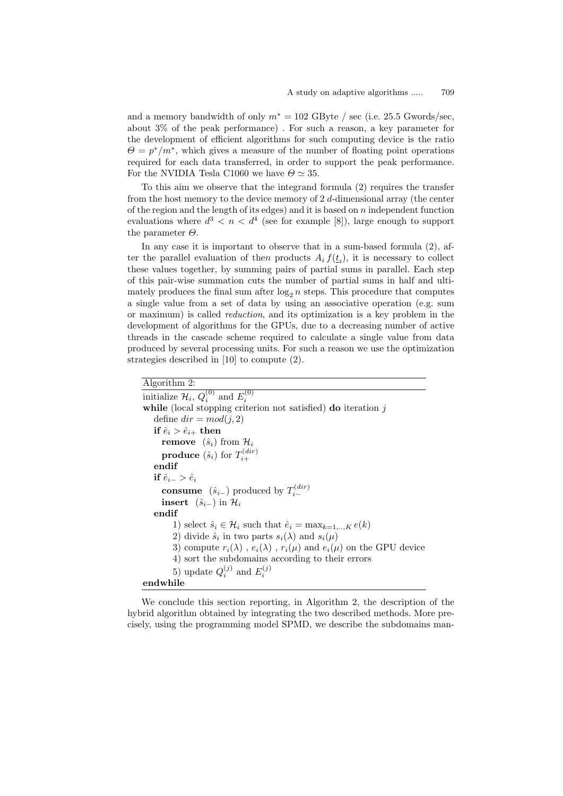and a memory bandwidth of only  $m^* = 102$  GByte / sec (i.e. 25.5 Gwords/sec, about 3% of the peak performance) . For such a reason, a key parameter for the development of efficient algorithms for such computing device is the ratio  $\Theta = p^*/m^*$ , which gives a measure of the number of floating point operations required for each data transferred, in order to support the peak performance. For the NVIDIA Tesla C1060 we have  $\Theta \simeq 35$ .

To this aim we observe that the integrand formula (2) requires the transfer from the host memory to the device memory of 2 d-dimensional array (the center of the region and the length of its edges) and it is based on  $n$  independent function evaluations where  $d^3 < n < d^4$  (see for example [8]), large enough to support the parameter  $\Theta$ .

In any case it is important to observe that in a sum-based formula (2), after the parallel evaluation of then products  $A_i f(t_i)$ , it is necessary to collect these values together, by summing pairs of partial sums in parallel. Each step of this pair-wise summation cuts the number of partial sums in half and ultimately produces the final sum after  $\log_2 n$  steps. This procedure that computes a single value from a set of data by using an associative operation (e.g. sum or maximum) is called reduction, and its optimization is a key problem in the development of algorithms for the GPUs, due to a decreasing number of active threads in the cascade scheme required to calculate a single value from data produced by several processing units. For such a reason we use the optimization strategies described in [10] to compute (2).

```
Algorithm 2:
initialize \mathcal{H}_i, Q_i^{(0)} and E_i^{(0)}while (local stopping criterion not satisfied) do iteration jdefine dir = mod(j, 2)if \hat{e}_i > \hat{e}_{i+} then
      remove (\hat{s}_i) from \mathcal{H}_iproduce (\hat{s}_i) for T_{i+}^{(dir)}endif
   if \hat{e}_{i-} > \hat{e}_iconsume (\hat{s}_{i-}) produced by T_{i-}^{(dir)}insert (\hat{s}_{i-}) in \mathcal{H}_iendif
          1) select \hat{s}_i \in \mathcal{H}_i such that \hat{e}_i = \max_{k=1,\dots,K} e(k)2) divide \hat{s}_i in two parts s_i(\lambda) and s_i(\mu)3) compute r_i(\lambda), e_i(\lambda), r_i(\mu) and e_i(\mu) on the GPU device
          4) sort the subdomains according to their errors
          5) update Q_i^{(j)} and E_i^{(j)}endwhile
```
We conclude this section reporting, in Algorithm 2, the description of the hybrid algorithm obtained by integrating the two described methods. More precisely, using the programming model SPMD, we describe the subdomains man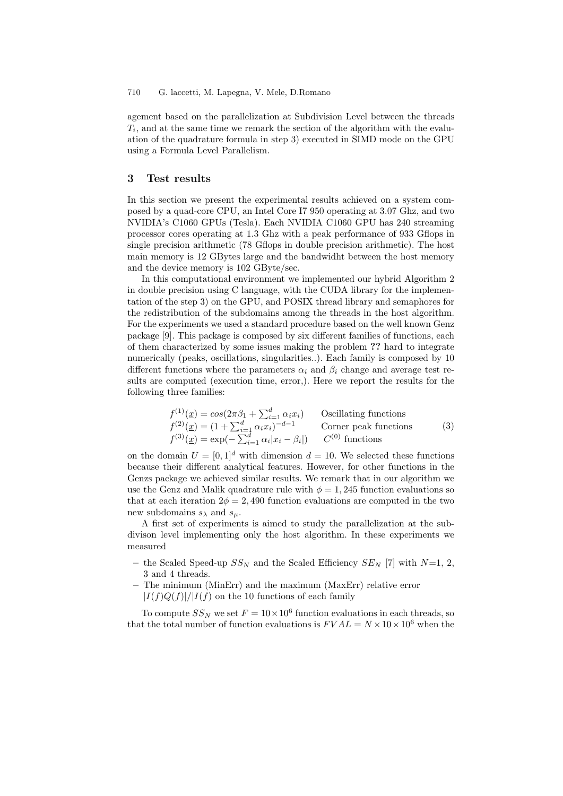agement based on the parallelization at Subdivision Level between the threads  $T_i$ , and at the same time we remark the section of the algorithm with the evaluation of the quadrature formula in step 3) executed in SIMD mode on the GPU using a Formula Level Parallelism.

## 3 Test results

In this section we present the experimental results achieved on a system composed by a quad-core CPU, an Intel Core I7 950 operating at 3.07 Ghz, and two NVIDIA's C1060 GPUs (Tesla). Each NVIDIA C1060 GPU has 240 streaming processor cores operating at 1.3 Ghz with a peak performance of 933 Gflops in single precision arithmetic (78 Gflops in double precision arithmetic). The host main memory is 12 GBytes large and the bandwidht between the host memory and the device memory is 102 GByte/sec.

In this computational environment we implemented our hybrid Algorithm 2 in double precision using C language, with the CUDA library for the implementation of the step 3) on the GPU, and POSIX thread library and semaphores for the redistribution of the subdomains among the threads in the host algorithm. For the experiments we used a standard procedure based on the well known Genz package [9]. This package is composed by six different families of functions, each of them characterized by some issues making the problem ?? hard to integrate numerically (peaks, oscillations, singularities..). Each family is composed by 10 different functions where the parameters  $\alpha_i$  and  $\beta_i$  change and average test results are computed (execution time, error,). Here we report the results for the following three families:

$$
f^{(1)}(\underline{x}) = \cos(2\pi\beta_1 + \sum_{i=1}^d \alpha_i x_i)
$$
 Oscillating functions  
\n
$$
f^{(2)}(\underline{x}) = (1 + \sum_{i=1}^d \alpha_i x_i)^{-d-1}
$$
 Corner peak functions  
\n
$$
f^{(3)}(\underline{x}) = \exp(-\sum_{i=1}^d \alpha_i |x_i - \beta_i|)
$$
  $C^{(0)}$  functions (3)

on the domain  $U = [0, 1]^d$  with dimension  $d = 10$ . We selected these functions because their different analytical features. However, for other functions in the Genzs package we achieved similar results. We remark that in our algorithm we use the Genz and Malik quadrature rule with  $\phi = 1,245$  function evaluations so that at each iteration  $2\phi = 2{,}490$  function evaluations are computed in the two new subdomains  $s_{\lambda}$  and  $s_{\mu}$ .

A first set of experiments is aimed to study the parallelization at the subdivison level implementing only the host algorithm. In these experiments we measured

- the Scaled Speed-up  $SS_N$  and the Scaled Efficiency  $SE_N$  [7] with  $N=1, 2,$ 3 and 4 threads.
- The minimum (MinErr) and the maximum (MaxErr) relative error  $|I(f)Q(f)|/|I(f)$  on the 10 functions of each family

To compute  $SS_N$  we set  $F = 10 \times 10^6$  function evaluations in each threads, so that the total number of function evaluations is  $FVAL = N \times 10 \times 10^6$  when the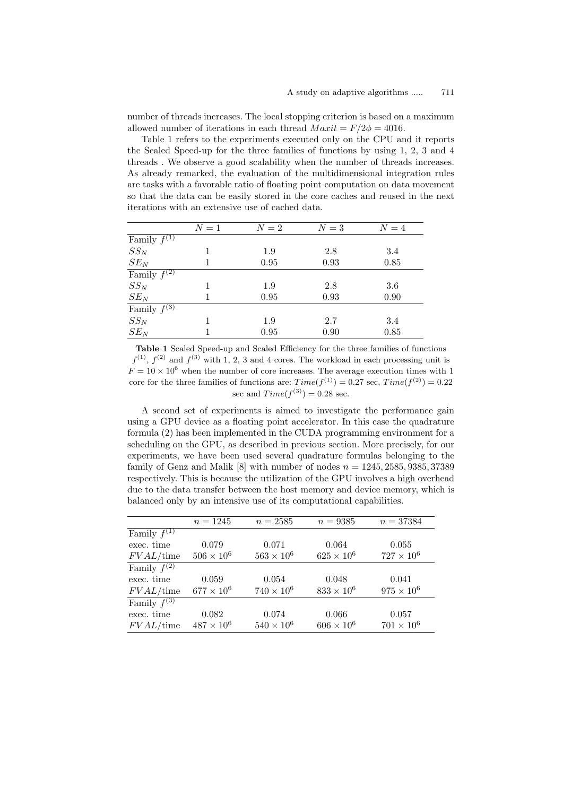number of threads increases. The local stopping criterion is based on a maximum allowed number of iterations in each thread  $Maxit = F/2\phi = 4016$ .

Table 1 refers to the experiments executed only on the CPU and it reports the Scaled Speed-up for the three families of functions by using 1, 2, 3 and 4 threads . We observe a good scalability when the number of threads increases. As already remarked, the evaluation of the multidimensional integration rules are tasks with a favorable ratio of floating point computation on data movement so that the data can be easily stored in the core caches and reused in the next iterations with an extensive use of cached data.

|                             | $N=1$ | $N=2$ | $N=3$ | $N=4$ |
|-----------------------------|-------|-------|-------|-------|
| Family $f^{(\overline{1})}$ |       |       |       |       |
| $SS_N$                      | 1     | 1.9   | 2.8   | 3.4   |
| $SE_N$                      | 1     | 0.95  | 0.93  | 0.85  |
| Family $f^{(2)}$            |       |       |       |       |
| $SS_N$                      |       | 1.9   | 2.8   | 3.6   |
| $SE_N$                      | 1     | 0.95  | 0.93  | 0.90  |
| Family $f^{(3)}$            |       |       |       |       |
| $SS_N$                      |       | 1.9   | 2.7   | 3.4   |
| $SE_N$                      |       | 0.95  | 0.90  | 0.85  |

Table 1 Scaled Speed-up and Scaled Efficiency for the three families of functions  $f^{(1)}$ ,  $f^{(2)}$  and  $f^{(3)}$  with 1, 2, 3 and 4 cores. The workload in each processing unit is  $F = 10 \times 10^6$  when the number of core increases. The average execution times with 1 core for the three families of functions are:  $Time(f^{(1)}) = 0.27$  sec,  $Time(f^{(2)}) = 0.22$ sec and  $Time(f^{(3)}) = 0.28$  sec.

A second set of experiments is aimed to investigate the performance gain using a GPU device as a floating point accelerator. In this case the quadrature formula (2) has been implemented in the CUDA programming environment for a scheduling on the GPU, as described in previous section. More precisely, for our experiments, we have been used several quadrature formulas belonging to the family of Genz and Malik [8] with number of nodes  $n = 1245, 2585, 9385, 37389$ respectively. This is because the utilization of the GPU involves a high overhead due to the data transfer between the host memory and device memory, which is balanced only by an intensive use of its computational capabilities.

|                             | $n = 1245$          | $n = 2585$          | $n = 9385$          | $n = 37384$         |
|-----------------------------|---------------------|---------------------|---------------------|---------------------|
| Family $f^{(1)}$            |                     |                     |                     |                     |
| exec. time                  | 0.079               | 0.071               | 0.064               | 0.055               |
| $FVAL$ /time                | $506 \times 10^6$   | $563 \times 10^6$   | $625 \times 10^6$   | $727 \times 10^6$   |
| Family $\overline{f^{(2)}}$ |                     |                     |                     |                     |
| exec. time                  | 0.059               | 0.054               | 0.048               | 0.041               |
| $FVAL$ /time                | $677 \times 10^{6}$ | $740 \times 10^{6}$ | $833 \times 10^{6}$ | $975 \times 10^{6}$ |
| Family $\overline{f^{(3)}}$ |                     |                     |                     |                     |
| exec. time                  | 0.082               | 0.074               | 0.066               | 0.057               |
| $FVAL$ /time                | $487 \times 10^{6}$ | $540 \times 10^{6}$ | $606 \times 10^{6}$ | $701 \times 10^{6}$ |
|                             |                     |                     |                     |                     |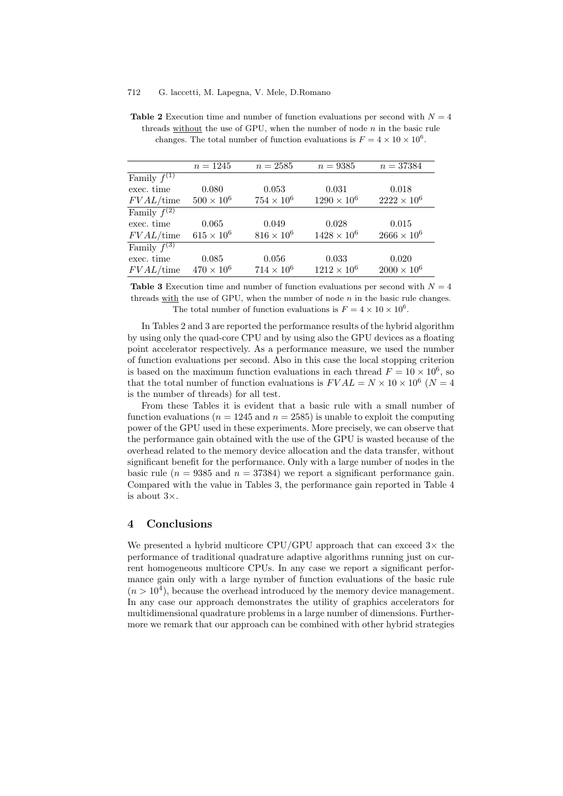### 712 G. laccetti, M. Lapegna, V. Mele, D.Romano

**Table 2** Execution time and number of function evaluations per second with  $N = 4$ threads without the use of GPU, when the number of node  $n$  in the basic rule changes. The total number of function evaluations is  $F = 4 \times 10 \times 10^6$ .

|                             | $n = 1245$          | $n = 2585$          | $n = 9385$           | $n = 37384$          |
|-----------------------------|---------------------|---------------------|----------------------|----------------------|
| Family $f^{(1)}$            |                     |                     |                      |                      |
| exec. time                  | 0.080               | 0.053               | 0.031                | 0.018                |
| $FVAL$ /time                | $500 \times 10^{6}$ | $754 \times 10^{6}$ | $1290 \times 10^{6}$ | $2222 \times 10^6$   |
| Family $\overline{f^{(2)}}$ |                     |                     |                      |                      |
| exec. time                  | 0.065               | 0.049               | 0.028                | 0.015                |
| $FVAL$ /time                | $615 \times 10^6$   | $816 \times 10^6$   | $1428 \times 10^{6}$ | $2666 \times 10^{6}$ |
| Family $f^{(3)}$            |                     |                     |                      |                      |
| exec. time                  | 0.085               | 0.056               | 0.033                | 0.020                |
| $FVAL$ /time                | $470 \times 10^{6}$ | $714 \times 10^{6}$ | $1212 \times 10^{6}$ | $2000 \times 10^{6}$ |

**Table 3** Execution time and number of function evaluations per second with  $N = 4$ threads with the use of GPU, when the number of node  $n$  in the basic rule changes. The total number of function evaluations is  $F = 4 \times 10 \times 10^6$ .

In Tables 2 and 3 are reported the performance results of the hybrid algorithm by using only the quad-core CPU and by using also the GPU devices as a floating point accelerator respectively. As a performance measure, we used the number of function evaluations per second. Also in this case the local stopping criterion is based on the maximum function evaluations in each thread  $F = 10 \times 10^6$ , so that the total number of function evaluations is  $FVAL = N \times 10 \times 10^6$  ( $N = 4$ ) is the number of threads) for all test.

From these Tables it is evident that a basic rule with a small number of function evaluations ( $n = 1245$  and  $n = 2585$ ) is unable to exploit the computing power of the GPU used in these experiments. More precisely, we can observe that the performance gain obtained with the use of the GPU is wasted because of the overhead related to the memory device allocation and the data transfer, without significant benefit for the performance. Only with a large number of nodes in the basic rule ( $n = 9385$  and  $n = 37384$ ) we report a significant performance gain. Compared with the value in Tables 3, the performance gain reported in Table 4 is about 3×.

# 4 Conclusions

We presented a hybrid multicore CPU/GPU approach that can exceed  $3\times$  the performance of traditional quadrature adaptive algorithms running just on current homogeneous multicore CPUs. In any case we report a significant performance gain only with a large nymber of function evaluations of the basic rule  $(n > 10<sup>4</sup>)$ , because the overhead introduced by the memory device management. In any case our approach demonstrates the utility of graphics accelerators for multidimensional quadrature problems in a large number of dimensions. Furthermore we remark that our approach can be combined with other hybrid strategies